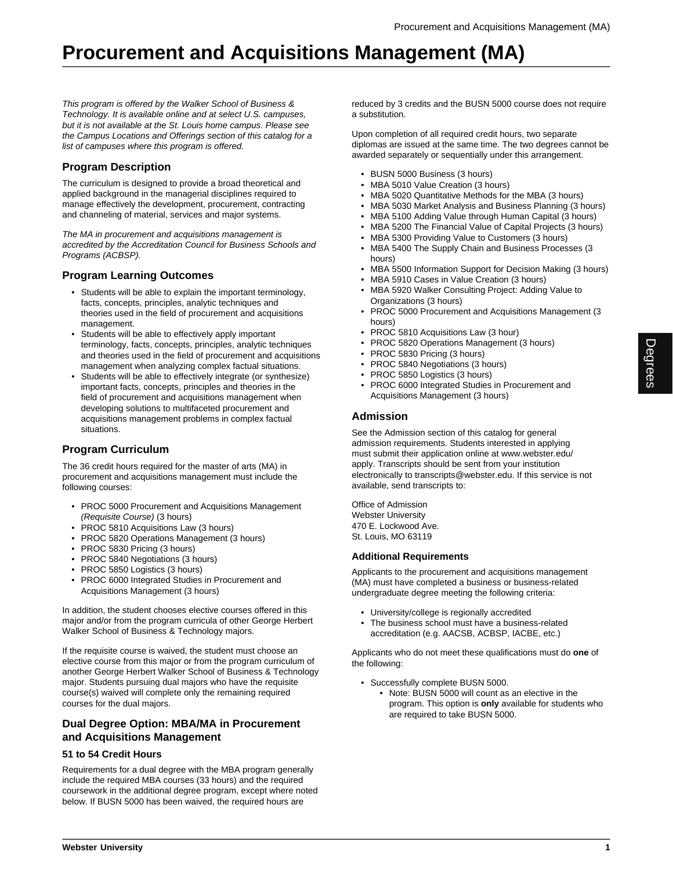# **Procurement and Acquisitions Management (MA)**

This program is offered by the Walker School of Business & Technology. It is available online and at select U.S. campuses, but it is not available at the St. Louis home campus. Please see the Campus Locations and Offerings section of this catalog for a list of campuses where this program is offered.

# **Program Description**

The curriculum is designed to provide a broad theoretical and applied background in the managerial disciplines required to manage effectively the development, procurement, contracting and channeling of material, services and major systems.

The MA in procurement and acquisitions management is accredited by the Accreditation Council for Business Schools and Programs (ACBSP).

## **Program Learning Outcomes**

- Students will be able to explain the important terminology, facts, concepts, principles, analytic techniques and theories used in the field of procurement and acquisitions management.
- Students will be able to effectively apply important terminology, facts, concepts, principles, analytic techniques and theories used in the field of procurement and acquisitions management when analyzing complex factual situations.
- Students will be able to effectively integrate (or synthesize) important facts, concepts, principles and theories in the field of procurement and acquisitions management when developing solutions to multifaceted procurement and acquisitions management problems in complex factual situations.

# **Program Curriculum**

The 36 credit hours required for the master of arts (MA) in procurement and acquisitions management must include the following courses:

- PROC 5000 Procurement and Acquisitions Management (Requisite Course) (3 hours)
- PROC 5810 Acquisitions Law (3 hours)
- PROC 5820 Operations Management (3 hours)
- PROC 5830 Pricing (3 hours)
- PROC 5840 Negotiations (3 hours)
- PROC 5850 Logistics (3 hours)
- PROC 6000 Integrated Studies in Procurement and Acquisitions Management (3 hours)

In addition, the student chooses elective courses offered in this major and/or from the program curricula of other George Herbert Walker School of Business & Technology majors.

If the requisite course is waived, the student must choose an elective course from this major or from the program curriculum of another George Herbert Walker School of Business & Technology major. Students pursuing dual majors who have the requisite course(s) waived will complete only the remaining required courses for the dual majors.

## **Dual Degree Option: MBA/MA in Procurement and Acquisitions Management**

#### **51 to 54 Credit Hours**

Requirements for a dual degree with the MBA program generally include the required MBA courses (33 hours) and the required coursework in the additional degree program, except where noted below. If BUSN 5000 has been waived, the required hours are

reduced by 3 credits and the BUSN 5000 course does not require a substitution.

Upon completion of all required credit hours, two separate diplomas are issued at the same time. The two degrees cannot be awarded separately or sequentially under this arrangement.

- BUSN 5000 Business (3 hours)
- MBA 5010 Value Creation (3 hours)
- MBA 5020 Quantitative Methods for the MBA (3 hours)
- MBA 5030 Market Analysis and Business Planning (3 hours)
- MBA 5100 Adding Value through Human Capital (3 hours)
- MBA 5200 The Financial Value of Capital Projects (3 hours)
- MBA 5300 Providing Value to Customers (3 hours)
- MBA 5400 The Supply Chain and Business Processes (3 hours)
- MBA 5500 Information Support for Decision Making (3 hours)
- MBA 5910 Cases in Value Creation (3 hours)
- MBA 5920 Walker Consulting Project: Adding Value to Organizations (3 hours)
- PROC 5000 Procurement and Acquisitions Management (3 hours)
- PROC 5810 Acquisitions Law (3 hour)
- PROC 5820 Operations Management (3 hours)
- PROC 5830 Pricing (3 hours)
- PROC 5840 Negotiations (3 hours)
- PROC 5850 Logistics (3 hours)
- PROC 6000 Integrated Studies in Procurement and Acquisitions Management (3 hours)

### **Admission**

See the Admission section of this catalog for general admission requirements. Students interested in applying must submit their application online at www.webster.edu/ apply. Transcripts should be sent from your institution electronically to transcripts@webster.edu. If this service is not available, send transcripts to:

Office of Admission Webster University 470 E. Lockwood Ave. St. Louis, MO 63119

### **Additional Requirements**

Applicants to the procurement and acquisitions management (MA) must have completed a business or business-related undergraduate degree meeting the following criteria:

- University/college is regionally accredited
- The business school must have a business-related accreditation (e.g. AACSB, ACBSP, IACBE, etc.)

Applicants who do not meet these qualifications must do **one** of the following:

- Successfully complete BUSN 5000.
	- Note: BUSN 5000 will count as an elective in the program. This option is **only** available for students who are required to take BUSN 5000.